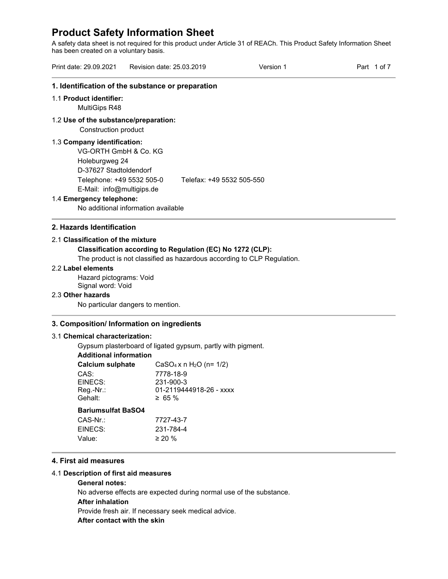A safety data sheet is not required for this product under Article 31 of REACh. This Product Safety Information Sheet has been created on a voluntary basis.

|                                                                                                  |                                                   | Version 1 | Part 1 of 7 |
|--------------------------------------------------------------------------------------------------|---------------------------------------------------|-----------|-------------|
|                                                                                                  | 1. Identification of the substance or preparation |           |             |
| 1.1 Product identifier:<br>MultiGips R48                                                         |                                                   |           |             |
| 1.2 Use of the substance/preparation:<br>Construction product                                    |                                                   |           |             |
| 1.3 Company identification:<br>VG-ORTH GmbH & Co. KG<br>Holeburgweg 24<br>D-37627 Stadtoldendorf |                                                   |           |             |
| Telephone: +49 5532 505-0<br>E-Mail: info@multigips.de                                           | Telefax: +49 5532 505-550                         |           |             |
| 1.4 Emergency telephone:                                                                         |                                                   |           |             |
|                                                                                                  | No additional information available               |           |             |

# **Classification according to Regulation (EC) No 1272 (CLP):**

The product is not classified as hazardous according to CLP Regulation.

# 2.2 **Label elements**

Hazard pictograms: Void Signal word: Void

#### 2.3 **Other hazards**

No particular dangers to mention.

# **3. Composition/ Information on ingredients**

# 3.1 **Chemical characterization:**

Gypsum plasterboard of ligated gypsum, partly with pigment.

| Additional information    |                           |
|---------------------------|---------------------------|
| <b>Calcium sulphate</b>   | $CaSO_4 x n H_2O (n=1/2)$ |
| CAS:                      | 7778-18-9                 |
| EINECS:                   | 231-900-3                 |
| Reg.-Nr.:                 | 01-2119444918-26 - xxxx   |
| Gehalt:                   | $\geq 65 \%$              |
| <b>Bariumsulfat BaSO4</b> |                           |
| CAS-Nr.:                  | 7727-43-7                 |
| EINECS:                   | 231-784-4                 |
| Value:                    | $\geq$ 20 %               |
|                           |                           |

# **4. First aid measures**

# 4.1 **Description of first aid measures**

# **General notes:**

No adverse effects are expected during normal use of the substance.

# **After inhalation**

Provide fresh air. If necessary seek medical advice.

# **After contact with the skin**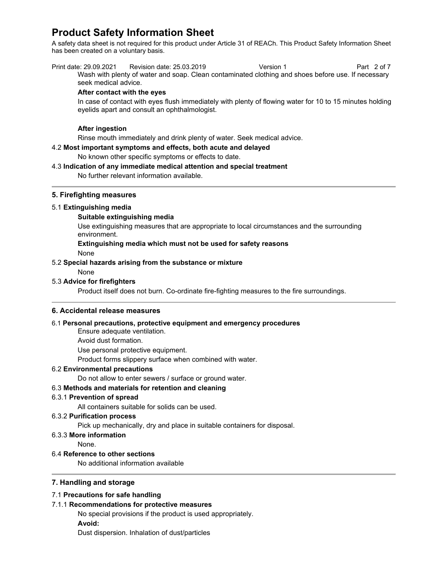A safety data sheet is not required for this product under Article 31 of REACh. This Product Safety Information Sheet has been created on a voluntary basis.

Print date: 29.09.2021 Revision date: 25.03.2019 Version 1 Part 2 of 7 Wash with plenty of water and soap. Clean contaminated clothing and shoes before use. If necessary seek medical advice.

#### **After contact with the eyes**

In case of contact with eyes flush immediately with plenty of flowing water for 10 to 15 minutes holding eyelids apart and consult an ophthalmologist.

# **After ingestion**

Rinse mouth immediately and drink plenty of water. Seek medical advice.

# 4.2 **Most important symptoms and effects, both acute and delayed**

No known other specific symptoms or effects to date.

### 4.3 **Indication of any immediate medical attention and special treatment**

No further relevant information available.

# **5. Firefighting measures**

#### 5.1 **Extinguishing media**

#### **Suitable extinguishing media**

Use extinguishing measures that are appropriate to local circumstances and the surrounding environment.

# **Extinguishing media which must not be used for safety reasons**

None

#### 5.2 **Special hazards arising from the substance or mixture**

None

# 5.3 **Advice for firefighters**

Product itself does not burn. Co-ordinate fire-fighting measures to the fire surroundings.

#### **6. Accidental release measures**

# 6.1 **Personal precautions, protective equipment and emergency procedures**

Ensure adequate ventilation.

Avoid dust formation.

Use personal protective equipment.

Product forms slippery surface when combined with water.

#### 6.2 **Environmental precautions**

Do not allow to enter sewers / surface or ground water.

# 6.3 **Methods and materials for retention and cleaning**

#### 6.3.1 **Prevention of spread**

All containers suitable for solids can be used.

#### 6.3.2 **Purification process**

Pick up mechanically, dry and place in suitable containers for disposal.

#### 6.3.3 **More information**

None.

## 6.4 **Reference to other sections**

No additional information available

# **7. Handling and storage**

# 7.1 **Precautions for safe handling**

# 7.1.1 **Recommendations for protective measures**

No special provisions if the product is used appropriately. **Avoid:** 

Dust dispersion. Inhalation of dust/particles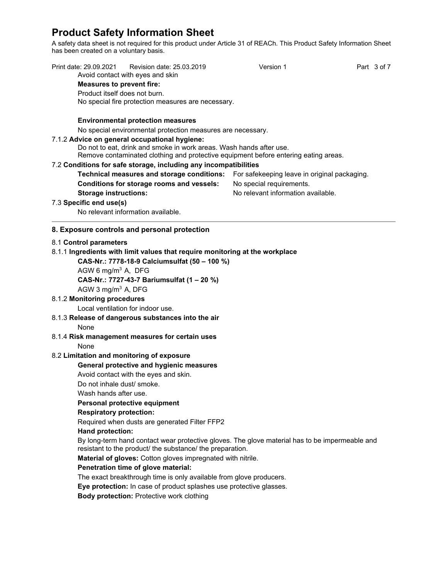A safety data sheet is not required for this product under Article 31 of REACh. This Product Safety Information Sheet has been created on a voluntary basis.

| Print date: 29.09.2021            | Revision date: 25.03.2019<br>Avoid contact with eyes and skin                                                                                               | Version 1                                    | Part 3 of 7 |
|-----------------------------------|-------------------------------------------------------------------------------------------------------------------------------------------------------------|----------------------------------------------|-------------|
| <b>Measures to prevent fire:</b>  |                                                                                                                                                             |                                              |             |
| Product itself does not burn.     |                                                                                                                                                             |                                              |             |
|                                   | No special fire protection measures are necessary.                                                                                                          |                                              |             |
|                                   |                                                                                                                                                             |                                              |             |
|                                   | <b>Environmental protection measures</b>                                                                                                                    |                                              |             |
|                                   | No special environmental protection measures are necessary.                                                                                                 |                                              |             |
|                                   | 7.1.2 Advice on general occupational hygiene:                                                                                                               |                                              |             |
|                                   | Do not to eat, drink and smoke in work areas. Wash hands after use.                                                                                         |                                              |             |
|                                   | Remove contaminated clothing and protective equipment before entering eating areas.                                                                         |                                              |             |
|                                   | 7.2 Conditions for safe storage, including any incompatibilities                                                                                            |                                              |             |
|                                   | Technical measures and storage conditions:                                                                                                                  | For safekeeping leave in original packaging. |             |
|                                   | Conditions for storage rooms and vessels:                                                                                                                   | No special requirements.                     |             |
| <b>Storage instructions:</b>      |                                                                                                                                                             | No relevant information available.           |             |
| 7.3 Specific end use(s)           |                                                                                                                                                             |                                              |             |
|                                   | No relevant information available.                                                                                                                          |                                              |             |
|                                   | 8. Exposure controls and personal protection                                                                                                                |                                              |             |
| 8.1 Control parameters            |                                                                                                                                                             |                                              |             |
|                                   | 8.1.1 Ingredients with limit values that require monitoring at the workplace                                                                                |                                              |             |
|                                   | CAS-Nr.: 7778-18-9 Calciumsulfat (50 - 100 %)                                                                                                               |                                              |             |
| AGW 6 mg/m <sup>3</sup> A, DFG    |                                                                                                                                                             |                                              |             |
|                                   | CAS-Nr.: 7727-43-7 Bariumsulfat (1 - 20 %)                                                                                                                  |                                              |             |
| AGW 3 mg/m <sup>3</sup> A, DFG    |                                                                                                                                                             |                                              |             |
| 8.1.2 Monitoring procedures       |                                                                                                                                                             |                                              |             |
| Local ventilation for indoor use. |                                                                                                                                                             |                                              |             |
|                                   | 8.1.3 Release of dangerous substances into the air                                                                                                          |                                              |             |
| None                              |                                                                                                                                                             |                                              |             |
|                                   | 8.1.4 Risk management measures for certain uses                                                                                                             |                                              |             |
| None                              |                                                                                                                                                             |                                              |             |
|                                   | 8.2 Limitation and monitoring of exposure                                                                                                                   |                                              |             |
|                                   | General protective and hygienic measures                                                                                                                    |                                              |             |
|                                   | Avoid contact with the eyes and skin.                                                                                                                       |                                              |             |
| Do not inhale dust/ smoke.        |                                                                                                                                                             |                                              |             |
| Wash hands after use.             |                                                                                                                                                             |                                              |             |
|                                   | Personal protective equipment                                                                                                                               |                                              |             |
| <b>Respiratory protection:</b>    |                                                                                                                                                             |                                              |             |
|                                   | Required when dusts are generated Filter FFP2                                                                                                               |                                              |             |
| Hand protection:                  |                                                                                                                                                             |                                              |             |
|                                   | By long-term hand contact wear protective gloves. The glove material has to be impermeable and<br>resistant to the product/ the substance/ the preparation. |                                              |             |
|                                   | Material of gloves: Cotton gloves impregnated with nitrile.                                                                                                 |                                              |             |
|                                   | Penetration time of glove material:                                                                                                                         |                                              |             |
|                                   | The exact breakthrough time is only available from glove producers.                                                                                         |                                              |             |
|                                   | Eye protection: In case of product splashes use protective glasses.                                                                                         |                                              |             |
|                                   | <b>Body protection: Protective work clothing</b>                                                                                                            |                                              |             |
|                                   |                                                                                                                                                             |                                              |             |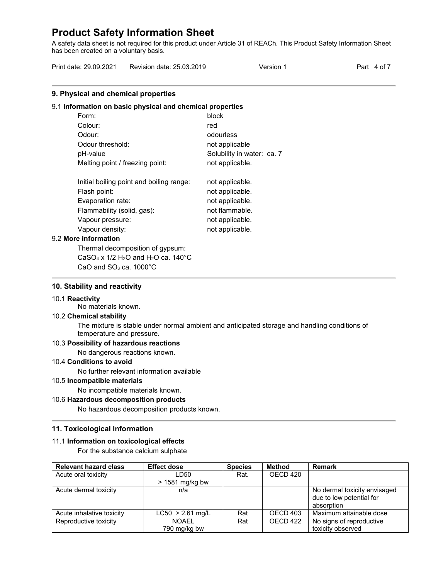A safety data sheet is not required for this product under Article 31 of REACh. This Product Safety Information Sheet has been created on a voluntary basis.

| Print date: 29.09.2021 | Revision date: 25.03.2019 | Version 1 | Part 4 of 7 |
|------------------------|---------------------------|-----------|-------------|
|                        |                           |           |             |

# **9. Physical and chemical properties**

#### 9.1 **Information on basic physical and chemical properties**

| Form:                                    | block                      |
|------------------------------------------|----------------------------|
| Colour:                                  | red                        |
| Odour:                                   | odourless                  |
| Odour threshold:                         | not applicable             |
| pH-value                                 | Solubility in water: ca. 7 |
| Melting point / freezing point:          | not applicable.            |
| Initial boiling point and boiling range: | not applicable.            |

| Flash point:               | not applicable. |
|----------------------------|-----------------|
| Evaporation rate:          | not applicable. |
| Flammability (solid, gas): | not flammable.  |
| Vapour pressure:           | not applicable. |
| Vapour density:            | not applicable. |

#### 9.2 **More information**

Thermal decomposition of gypsum: CaSO<sub>4</sub> x  $1/2$  H<sub>2</sub>O and H<sub>2</sub>O ca.  $140^{\circ}$ C CaO and  $SO<sub>3</sub>$  ca. 1000 $^{\circ}$ C

### **10. Stability and reactivity**

#### 10.1 **Reactivity**

No materials known.

#### 10.2 **Chemical stability**

The mixture is stable under normal ambient and anticipated storage and handling conditions of temperature and pressure.

# 10.3 **Possibility of hazardous reactions**

No dangerous reactions known.

# 10.4 **Conditions to avoid**

No further relevant information available

#### 10.5 **Incompatible materials**

No incompatible materials known.

# 10.6 **Hazardous decomposition products**

No hazardous decomposition products known.

#### **11. Toxicological Information**

#### 11.1 **Information on toxicological effects**

For the substance calcium sulphate

| <b>Relevant hazard class</b> | <b>Effect dose</b> | <b>Species</b> | Method   | <b>Remark</b>                |
|------------------------------|--------------------|----------------|----------|------------------------------|
| Acute oral toxicity          | LD50               | Rat.           | OECD 420 |                              |
|                              | $> 1581$ mg/kg bw  |                |          |                              |
| Acute dermal toxicity        | n/a                |                |          | No dermal toxicity envisaged |
|                              |                    |                |          | due to low potential for     |
|                              |                    |                |          | absorption                   |
| Acute inhalative toxicity    | $LC50 > 2.61$ mg/L | Rat            | OECD 403 | Maximum attainable dose      |
| Reproductive toxicity        | <b>NOAEL</b>       | Rat            | OECD 422 | No signs of reproductive     |
|                              | 790 mg/kg bw       |                |          | toxicity observed            |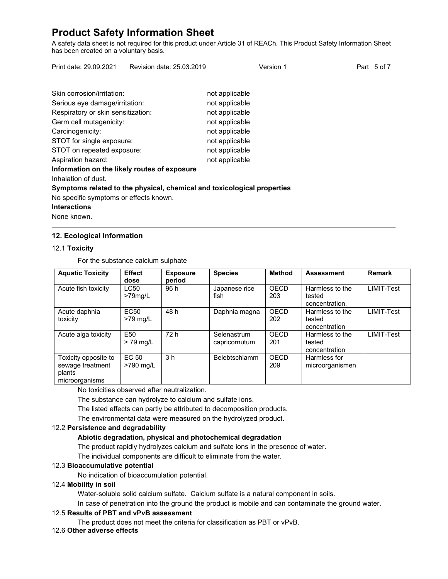A safety data sheet is not required for this product under Article 31 of REACh. This Product Safety Information Sheet has been created on a voluntary basis.

Print date: 29.09.2021 Revision date: 25.03.2019 Version 1 Version 1 Part 5 of 7

| Skin corrosion/irritation:                                              | not applicable |
|-------------------------------------------------------------------------|----------------|
| Serious eye damage/irritation:                                          | not applicable |
| Respiratory or skin sensitization:                                      | not applicable |
| Germ cell mutagenicity:                                                 | not applicable |
| Carcinogenicity:                                                        | not applicable |
| STOT for single exposure:                                               | not applicable |
| STOT on repeated exposure:                                              | not applicable |
| Aspiration hazard:                                                      | not applicable |
| Information on the likely routes of exposure                            |                |
| Inhalation of dust.                                                     |                |
| Symptoms related to the physical, chemical and toxicological properties |                |
| No specific symptoms or effects known.                                  |                |

**Interactions**

None known.

# **12. Ecological Information**

# 12.1 **Toxicity**

For the substance calcium sulphate

| <b>Aquatic Toxicity</b>                                              | <b>Effect</b><br>dose          | <b>Exposure</b><br>period | <b>Species</b>               | <b>Method</b>      | <b>Assessment</b>                           | <b>Remark</b> |
|----------------------------------------------------------------------|--------------------------------|---------------------------|------------------------------|--------------------|---------------------------------------------|---------------|
| Acute fish toxicity                                                  | LC50<br>$>79$ mg/L             | 96 h                      | Japanese rice<br>fish        | <b>OECD</b><br>203 | Harmless to the<br>tested<br>concentration. | LIMIT-Test    |
| Acute daphnia<br>toxicity                                            | EC <sub>50</sub><br>$>79$ mg/L | 48 h                      | Daphnia magna                | OECD<br>202        | Harmless to the<br>tested<br>concentration  | LIMIT-Test    |
| Acute alga toxicity                                                  | E <sub>50</sub><br>$> 79$ mg/L | 72 h                      | Selenastrum<br>capricornutum | OECD<br>201        | Harmless to the<br>tested<br>concentration  | LIMIT-Test    |
| Toxicity opposite to<br>sewage treatment<br>plants<br>microorganisms | EC 50<br>>790 mg/L             | 3 <sub>h</sub>            | Belebtschlamm                | OECD<br>209        | Harmless for<br>microorganismen             |               |

No toxicities observed after neutralization.

The substance can hydrolyze to calcium and sulfate ions.

The listed effects can partly be attributed to decomposition products.

The environmental data were measured on the hydrolyzed product.

# 12.2 **Persistence and degradability**

# **Abiotic degradation, physical and photochemical degradation**

The product rapidly hydrolyzes calcium and sulfate ions in the presence of water.

The individual components are difficult to eliminate from the water.

# 12.3 **Bioaccumulative potential**

No indication of bioaccumulation potential.

# 12.4 **Mobility in soil**

Water-soluble solid calcium sulfate. Calcium sulfate is a natural component in soils.

In case of penetration into the ground the product is mobile and can contaminate the ground water.

# 12.5 **Results of PBT and vPvB assessment**

The product does not meet the criteria for classification as PBT or vPvB.

# 12.6 **Other adverse effects**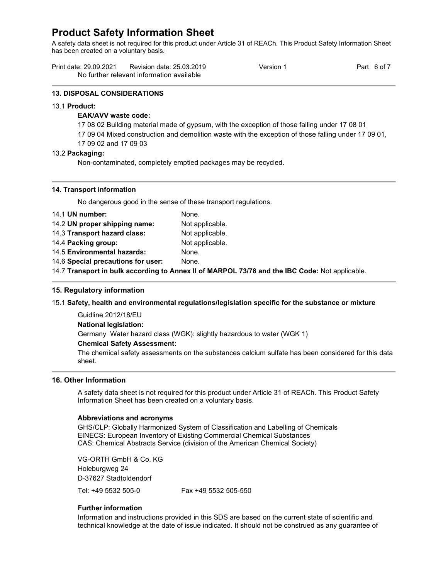A safety data sheet is not required for this product under Article 31 of REACh. This Product Safety Information Sheet has been created on a voluntary basis.

| Print date: 29.09.2021 | Revision date: 25.03.2019                 | Version 1 | Part 6 of |
|------------------------|-------------------------------------------|-----------|-----------|
|                        | No further relevant information available |           |           |

#### **13. DISPOSAL CONSIDERATIONS**

#### 13.1 **Product:**

# **EAK/AVV waste code:**

17 08 02 Building material made of gypsum, with the exception of those falling under 17 08 01

- 17 09 04 Mixed construction and demolition waste with the exception of those falling under 17 09 01,
- 17 09 02 and 17 09 03

#### 13.2 **Packaging:**

Non-contaminated, completely emptied packages may be recycled.

#### **14. Transport information**

No dangerous good in the sense of these transport regulations.

| 14.1 UN number:                    | None.           |
|------------------------------------|-----------------|
| 14.2 UN proper shipping name:      | Not applicable. |
| 14.3 Transport hazard class:       | Not applicable. |
| 14.4 Packing group:                | Not applicable. |
| 14.5 Environmental hazards:        | None.           |
| 14.6 Special precautions for user: | None.           |
|                                    |                 |

14.7 **Transport in bulk according to Annex II of MARPOL 73/78 and the IBC Code:** Not applicable.

# **15. Regulatory information**

# 15.1 **Safety, health and environmental regulations/legislation specific for the substance or mixture**

Guidline 2012/18/EU **National legislation:** Germany Water hazard class (WGK): slightly hazardous to water (WGK 1) **Chemical Safety Assessment:** 

The chemical safety assessments on the substances calcium sulfate has been considered for this data sheet.

# **16. Other Information**

A safety data sheet is not required for this product under Article 31 of REACh. This Product Safety Information Sheet has been created on a voluntary basis.

#### **Abbreviations and acronyms**

GHS/CLP: Globally Harmonized System of Classification and Labelling of Chemicals EINECS: European Inventory of Existing Commercial Chemical Substances CAS: Chemical Abstracts Service (division of the American Chemical Society)

VG-ORTH GmbH & Co. KG Holeburgweg 24 D-37627 Stadtoldendorf Tel: +49 5532 505-0 Fax +49 5532 505-550

# **Further information**

Information and instructions provided in this SDS are based on the current state of scientific and technical knowledge at the date of issue indicated. It should not be construed as any guarantee of